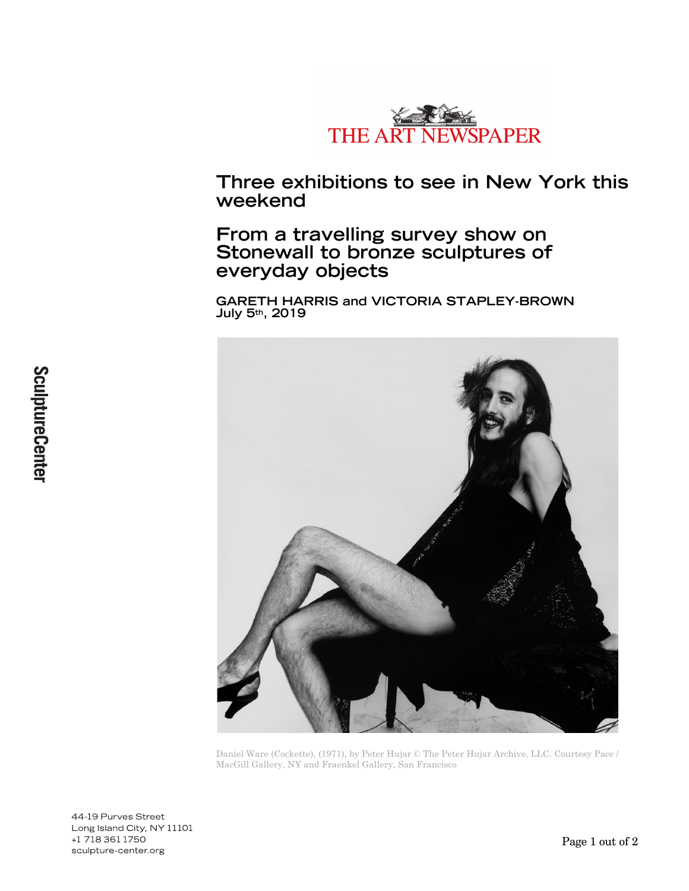

**Three exhibitions to see in New York this weekend**

**From a travelling survey show on Stonewall to bronze sculptures of everyday objects**

**GARETH HARRIS and VICTORIA STAPLEY-BROWN July 5th, 2019**



Daniel Ware (Cockette), (1971), by Peter Hujar © The Peter Hujar Archive, LLC. Courtesy Pace / MacGill Gallery, NY and Fraenkel Gallery, San Francisco

44-19 Purves Street Long Island City, NY 11101 +1 718 361 1750 sculpture-center.org